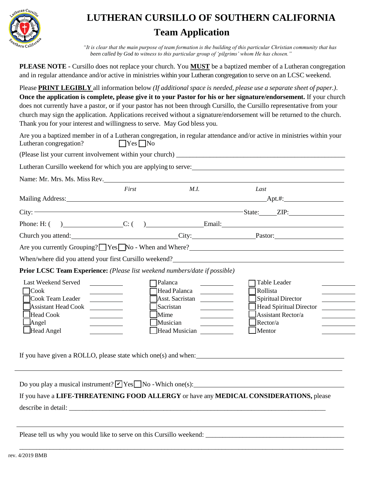

## **LUTHERAN CURSILLO OF SOUTHERN CALIFORNIA Team Application**

*"It is clear that the main purpose of team formation is the building of this particular Christian community that has been called by God to witness to this particular group of 'pilgrims' whom He has chosen."*

| PLEASE NOTE - Cursillo does not replace your church. You MUST be a baptized member of a Lutheran congregation        |
|----------------------------------------------------------------------------------------------------------------------|
| and in regular attendance and/or active in ministries within your Lutheran congregation to serve on an LCSC weekend. |

Please **PRINT LEGIBLY** all information below *(If additional space is needed, please use a separate sheet of paper.)*. **Once the application is complete, please give it to your Pastor for his or her signature/endorsement.** If your church does not currently have a pastor, or if your pastor has not been through Cursillo, the Cursillo representative from your church may sign the application. Applications received without a signature/endorsement will be returned to the church. Thank you for your interest and willingness to serve. May God bless you.

| Are you a baptized member in of a Lutheran congregation, in regular attendance and/or active in ministries within your |                      |  |  |  |
|------------------------------------------------------------------------------------------------------------------------|----------------------|--|--|--|
| Lutheran congregation?                                                                                                 | $\Box$ Yes $\Box$ No |  |  |  |
| (Please list your current involvement within your church)                                                              |                      |  |  |  |

| Name: Mr. Mrs. Ms. Miss Rev.                                                                                   | First                                          | M.I.                                                                                                                                                                                                             | Last                                                                                                                                                                    |
|----------------------------------------------------------------------------------------------------------------|------------------------------------------------|------------------------------------------------------------------------------------------------------------------------------------------------------------------------------------------------------------------|-------------------------------------------------------------------------------------------------------------------------------------------------------------------------|
| Mailing Address: 1997 and 2008 and 2009 and 2009 and 2009 and 2009 and 2009 and 2009 and 2009 and 2009 and 200 |                                                |                                                                                                                                                                                                                  |                                                                                                                                                                         |
|                                                                                                                |                                                |                                                                                                                                                                                                                  | $City:$ $ZIP:$                                                                                                                                                          |
|                                                                                                                |                                                |                                                                                                                                                                                                                  |                                                                                                                                                                         |
|                                                                                                                |                                                |                                                                                                                                                                                                                  | Church you attend: Church you attend: City: Church you attend:                                                                                                          |
|                                                                                                                |                                                |                                                                                                                                                                                                                  | Are you currently Grouping? Yes No - When and Where?                                                                                                                    |
|                                                                                                                |                                                |                                                                                                                                                                                                                  | When/where did you attend your first Cursillo weekend?<br>The management of the subsequence of the subsequence of the subsequence of the subsequence of the subsequence |
| Prior LCSC Team Experience: (Please list weekend numbers/date if possible)                                     |                                                |                                                                                                                                                                                                                  |                                                                                                                                                                         |
| Last Weekend Served<br><b>Cook</b><br>Cook Team Leader<br><b>Assistant Head Cook</b><br>Head Cook              | <u>and the state of the state of the state</u> | <b>Palanca</b><br>$\overline{\phantom{a}}$ . The state of $\overline{\phantom{a}}$<br>Head Palanca<br><u> 1999 - Jan Jawa</u><br>Asst. Sacristan<br>Sacristan<br>Mime<br><u> Andrew Maria (1986)</u><br>Musician | Table Leader<br>Rollista<br><b>Spiritual Director</b><br><b>Head Spiritual Director</b><br><b>Assistant Rector/a</b><br>Rector/a                                        |

Do you play a musical instrument?  $\nabla$  Yes  $\nabla$  No - Which one(s): If you have a **LIFE-THREATENING FOOD ALLERGY** or have any **MEDICAL CONSIDERATIONS,** please describe in detail:

\_\_\_\_\_\_\_\_\_\_\_\_\_\_\_\_\_\_\_\_\_\_\_\_\_\_\_\_\_\_\_\_\_\_\_\_\_\_\_\_\_\_\_\_\_\_\_\_\_\_\_\_\_\_\_\_\_\_\_\_\_\_\_\_\_\_\_\_\_\_\_\_\_\_\_\_\_\_\_\_\_\_\_\_\_\_\_\_\_\_\_\_\_\_\_\_

Please tell us why you would like to serve on this Cursillo weekend: